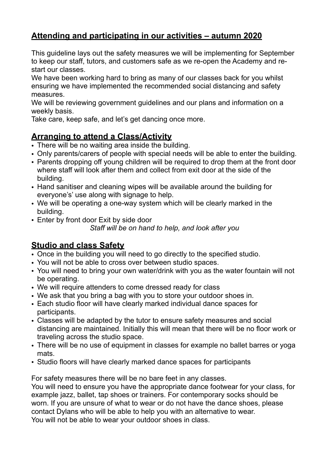## **Attending and participating in our activities – autumn 2020**

This guideline lays out the safety measures we will be implementing for September to keep our staff, tutors, and customers safe as we re-open the Academy and restart our classes.

We have been working hard to bring as many of our classes back for you whilst ensuring we have implemented the recommended social distancing and safety measures.

We will be reviewing government guidelines and our plans and information on a weekly basis.

Take care, keep safe, and let's get dancing once more.

### **Arranging to attend a Class/Activity**

- There will be no waiting area inside the building.
- Only parents/carers of people with special needs will be able to enter the building.
- Parents dropping off young children will be required to drop them at the front door where staff will look after them and collect from exit door at the side of the building.
- Hand sanitiser and cleaning wipes will be available around the building for everyone's' use along with signage to help.
- We will be operating a one-way system which will be clearly marked in the building.
- Enter by front door Exit by side door

*Staff will be on hand to help, and look after you* 

# **Studio and class Safety**

- Once in the building you will need to go directly to the specified studio.
- You will not be able to cross over between studio spaces.
- You will need to bring your own water/drink with you as the water fountain will not be operating.
- We will require attenders to come dressed ready for class
- We ask that you bring a bag with you to store your outdoor shoes in.
- Each studio floor will have clearly marked individual dance spaces for participants.
- Classes will be adapted by the tutor to ensure safety measures and social distancing are maintained. Initially this will mean that there will be no floor work or traveling across the studio space.
- There will be no use of equipment in classes for example no ballet barres or yoga mats.
- Studio floors will have clearly marked dance spaces for participants

For safety measures there will be no bare feet in any classes.

You will need to ensure you have the appropriate dance footwear for your class, for example jazz, ballet, tap shoes or trainers. For contemporary socks should be worn. If you are unsure of what to wear or do not have the dance shoes, please contact Dylans who will be able to help you with an alternative to wear. You will not be able to wear your outdoor shoes in class.